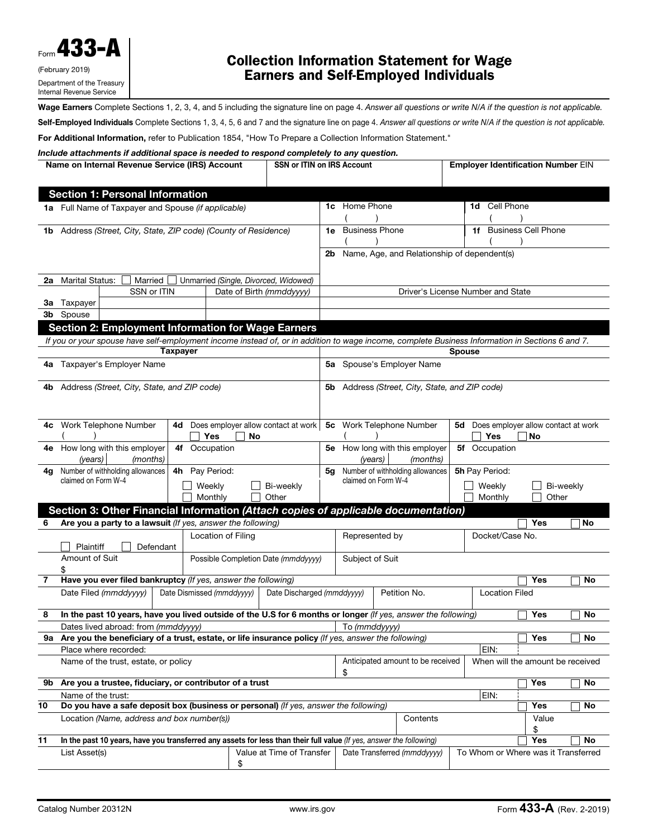

# Collection Information Statement for Wage Earners and Self-Employed Individuals

Wage Earners Complete Sections 1, 2, 3, 4, and 5 including the signature line on page 4. Answer all questions or write N/A if the question is not applicable. Self-Employed Individuals Complete Sections 1, 3, 4, 5, 6 and 7 and the signature line on page 4. Answer all questions or write N/A if the question is not applicable.

For Additional Information, refer to Publication 1854, "How To Prepare a Collection Information Statement."

*Include attachments if additional space is needed to respond completely to any question.*

|    |                     | Name on Internal Revenue Service (IRS) Account                   |                           |                    | <b>SSN or ITIN on IRS Account</b>                                                                                   |                |                       |                                                                                                                                                 |               | <b>Employer Identification Number EIN</b> |            |           |           |
|----|---------------------|------------------------------------------------------------------|---------------------------|--------------------|---------------------------------------------------------------------------------------------------------------------|----------------|-----------------------|-------------------------------------------------------------------------------------------------------------------------------------------------|---------------|-------------------------------------------|------------|-----------|-----------|
|    |                     |                                                                  |                           |                    |                                                                                                                     |                |                       |                                                                                                                                                 |               |                                           |            |           |           |
|    |                     | <b>Section 1: Personal Information</b>                           |                           |                    |                                                                                                                     |                |                       |                                                                                                                                                 |               |                                           |            |           |           |
|    |                     | 1a Full Name of Taxpayer and Spouse (if applicable)              |                           |                    |                                                                                                                     |                | 1c Home Phone         |                                                                                                                                                 |               | 1d Cell Phone                             |            |           |           |
|    |                     |                                                                  |                           |                    |                                                                                                                     |                |                       |                                                                                                                                                 |               |                                           |            |           |           |
|    |                     | 1b Address (Street, City, State, ZIP code) (County of Residence) |                           |                    |                                                                                                                     | 1e.            | <b>Business Phone</b> |                                                                                                                                                 |               | 1f Business Cell Phone                    |            |           |           |
|    |                     |                                                                  |                           |                    |                                                                                                                     |                |                       |                                                                                                                                                 |               |                                           |            |           |           |
|    |                     |                                                                  |                           |                    |                                                                                                                     | 2b             |                       | Name, Age, and Relationship of dependent(s)                                                                                                     |               |                                           |            |           |           |
|    |                     |                                                                  |                           |                    |                                                                                                                     |                |                       |                                                                                                                                                 |               |                                           |            |           |           |
| 2a | Marital Status:     | Married                                                          |                           |                    | Unmarried (Single, Divorced, Widowed)                                                                               |                |                       |                                                                                                                                                 |               |                                           |            |           |           |
|    |                     | SSN or ITIN                                                      |                           |                    | Date of Birth (mmddyyyy)                                                                                            |                |                       | Driver's License Number and State                                                                                                               |               |                                           |            |           |           |
| За | Taxpayer            |                                                                  |                           |                    |                                                                                                                     |                |                       |                                                                                                                                                 |               |                                           |            |           |           |
|    | 3b Spouse           |                                                                  |                           |                    |                                                                                                                     |                |                       |                                                                                                                                                 |               |                                           |            |           |           |
|    |                     |                                                                  |                           |                    | <b>Section 2: Employment Information for Wage Earners</b>                                                           |                |                       |                                                                                                                                                 |               |                                           |            |           |           |
|    |                     |                                                                  |                           |                    |                                                                                                                     |                |                       | If you or your spouse have self-employment income instead of, or in addition to wage income, complete Business Information in Sections 6 and 7. |               |                                           |            |           |           |
|    |                     |                                                                  | <b>Taxpayer</b>           |                    |                                                                                                                     |                |                       |                                                                                                                                                 | <b>Spouse</b> |                                           |            |           |           |
|    |                     | 4a Taxpayer's Employer Name                                      |                           |                    |                                                                                                                     |                |                       | 5a Spouse's Employer Name                                                                                                                       |               |                                           |            |           |           |
|    |                     |                                                                  |                           |                    |                                                                                                                     |                |                       |                                                                                                                                                 |               |                                           |            |           |           |
|    |                     | 4b Address (Street, City, State, and ZIP code)                   |                           |                    |                                                                                                                     | 5b             |                       | Address (Street, City, State, and ZIP code)                                                                                                     |               |                                           |            |           |           |
|    |                     |                                                                  |                           |                    |                                                                                                                     |                |                       |                                                                                                                                                 |               |                                           |            |           |           |
|    |                     |                                                                  |                           |                    |                                                                                                                     |                |                       |                                                                                                                                                 |               |                                           |            |           |           |
| 4c |                     | Work Telephone Number                                            | 4d                        |                    | Does employer allow contact at work                                                                                 | 5 <sub>c</sub> |                       | Work Telephone Number                                                                                                                           |               | 5d Does employer allow contact at work    |            |           |           |
|    |                     |                                                                  |                           | Yes                | No                                                                                                                  |                |                       |                                                                                                                                                 |               | Yes                                       | l No       |           |           |
| 4е |                     | How long with this employer                                      | 4f Occupation             |                    |                                                                                                                     |                |                       | 5e How long with this employer                                                                                                                  |               | 5f Occupation                             |            |           |           |
|    | (years)             | (months)                                                         |                           |                    |                                                                                                                     |                | (years)               | (months)                                                                                                                                        |               |                                           |            |           |           |
| 4q |                     | Number of withholding allowances                                 | 4h Pay Period:            |                    |                                                                                                                     | 5g             |                       | Number of withholding allowances                                                                                                                |               | 5h Pay Period:                            |            |           |           |
|    | claimed on Form W-4 |                                                                  |                           | Weekly             | Bi-weekly                                                                                                           |                |                       | claimed on Form W-4                                                                                                                             |               | Weekly                                    |            | Bi-weekly |           |
|    |                     |                                                                  |                           | Monthly            | Other                                                                                                               |                |                       |                                                                                                                                                 |               | Monthly                                   | Other      |           |           |
|    |                     |                                                                  |                           |                    |                                                                                                                     |                |                       | Section 3: Other Financial Information (Attach copies of applicable documentation)                                                              |               |                                           |            |           |           |
| 6  |                     | Are you a party to a lawsuit (If yes, answer the following)      |                           |                    |                                                                                                                     |                |                       |                                                                                                                                                 |               |                                           | Yes        |           | No        |
|    |                     |                                                                  |                           | Location of Filing |                                                                                                                     |                | Represented by        |                                                                                                                                                 |               | Docket/Case No.                           |            |           |           |
|    | Plaintiff           | Defendant                                                        |                           |                    |                                                                                                                     |                |                       |                                                                                                                                                 |               |                                           |            |           |           |
|    | Amount of Suit      |                                                                  |                           |                    | Possible Completion Date (mmddyyyy)                                                                                 |                | Subject of Suit       |                                                                                                                                                 |               |                                           |            |           |           |
|    |                     |                                                                  |                           |                    |                                                                                                                     |                |                       |                                                                                                                                                 |               |                                           |            |           |           |
| 7  |                     | Have you ever filed bankruptcy (If yes, answer the following)    |                           |                    |                                                                                                                     |                |                       |                                                                                                                                                 |               |                                           | Yes        |           | No        |
|    |                     | Date Filed (mmddyyyy)                                            | Date Dismissed (mmddyyyy) |                    | Date Discharged (mmddyyyy)                                                                                          |                |                       | Petition No.                                                                                                                                    |               | <b>Location Filed</b>                     |            |           |           |
|    |                     |                                                                  |                           |                    |                                                                                                                     |                |                       |                                                                                                                                                 |               |                                           |            |           |           |
| 8  |                     |                                                                  |                           |                    |                                                                                                                     |                |                       | In the past 10 years, have you lived outside of the U.S for 6 months or longer (If yes, answer the following)                                   |               |                                           | Yes        |           | No        |
|    |                     | Dates lived abroad: from (mmddyyyy)                              |                           |                    |                                                                                                                     |                | To (mmddyyyy)         |                                                                                                                                                 |               |                                           |            |           |           |
|    |                     |                                                                  |                           |                    | 9a Are you the beneficiary of a trust, estate, or life insurance policy (If yes, answer the following)              |                |                       |                                                                                                                                                 |               |                                           | Yes        |           | <b>No</b> |
|    |                     | Place where recorded:                                            |                           |                    |                                                                                                                     |                |                       |                                                                                                                                                 |               | EIN:                                      |            |           |           |
|    |                     | Name of the trust, estate, or policy                             |                           |                    |                                                                                                                     |                | \$                    | Anticipated amount to be received                                                                                                               |               | When will the amount be received          |            |           |           |
| 9b |                     | Are you a trustee, fiduciary, or contributor of a trust          |                           |                    |                                                                                                                     |                |                       |                                                                                                                                                 |               |                                           | <b>Yes</b> |           | No        |
|    | Name of the trust:  |                                                                  |                           |                    |                                                                                                                     |                |                       |                                                                                                                                                 |               | EIN:                                      |            |           |           |
| 10 |                     |                                                                  |                           |                    | Do you have a safe deposit box (business or personal) (If yes, answer the following)                                |                |                       |                                                                                                                                                 |               |                                           | Yes        |           | No        |
|    |                     | Location (Name, address and box number(s))                       |                           |                    |                                                                                                                     |                |                       | Contents                                                                                                                                        |               |                                           | Value      |           |           |
|    |                     |                                                                  |                           |                    |                                                                                                                     |                |                       |                                                                                                                                                 |               |                                           | \$         |           |           |
| 11 |                     |                                                                  |                           |                    | In the past 10 years, have you transferred any assets for less than their full value (If yes, answer the following) |                |                       |                                                                                                                                                 |               |                                           | Yes        |           | No        |
|    | List Asset(s)       |                                                                  |                           |                    | Value at Time of Transfer                                                                                           |                |                       | Date Transferred (mmddyyyy)                                                                                                                     |               | To Whom or Where was it Transferred       |            |           |           |
|    |                     |                                                                  |                           | \$                 |                                                                                                                     |                |                       |                                                                                                                                                 |               |                                           |            |           |           |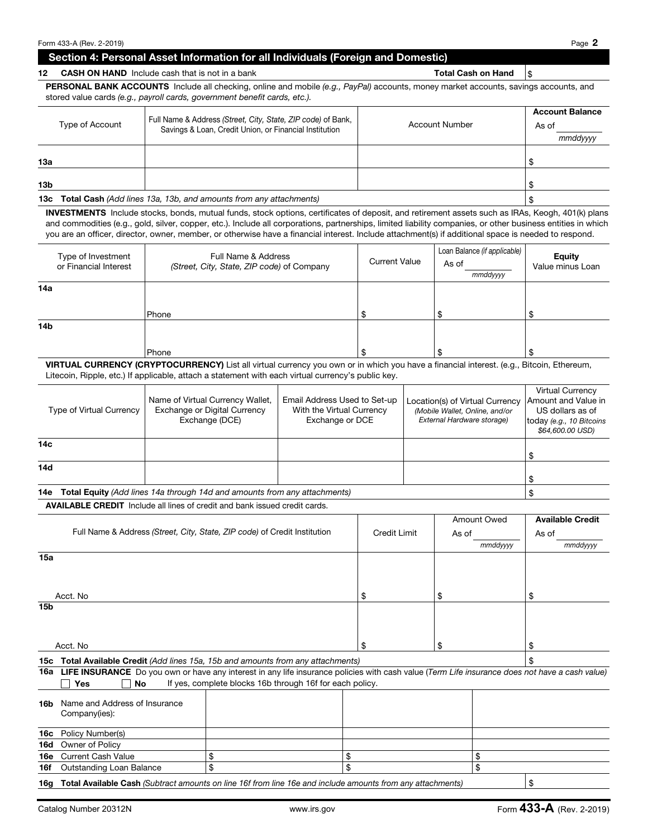### Section 4: Personal Asset Information for all Individuals (Foreign and Domestic)

## PERSONAL BANK ACCOUNTS Include all checking, online and mobile *(e.g., PayPal)* accounts, money market accounts, savings accounts, and stored value cards *(e.g., payroll cards, government benefit cards, etc.).*

12 CASH ON HAND Include cash that is not in a bank Total Cash on Hand  $\frac{1}{3}$ 

| Type of Account | Full Name & Address (Street, City, State, ZIP code) of Bank,<br>Savings & Loan, Credit Union, or Financial Institution | <b>Account Number</b> | <b>Account Balance</b><br>As of<br>mmddyyyy |
|-----------------|------------------------------------------------------------------------------------------------------------------------|-----------------------|---------------------------------------------|
| 13а             |                                                                                                                        |                       |                                             |
| 13 <sub>b</sub> |                                                                                                                        |                       |                                             |
|                 | 13c Total Cash (Add lines 13a, 13b, and amounts from any attachments)                                                  |                       |                                             |

INVESTMENTS Include stocks, bonds, mutual funds, stock options, certificates of deposit, and retirement assets such as IRAs, Keogh, 401(k) plans and commodities (e.g., gold, silver, copper, etc.). Include all corporations, partnerships, limited liability companies, or other business entities in which you are an officer, director, owner, member, or otherwise have a financial interest. Include attachment(s) if additional space is needed to respond.

| Type of Investment<br>or Financial Interest | Full Name & Address<br>(Street, City, State, ZIP code) of Company | <b>Current Value</b> | Loan Balance (if applicable)<br>As of<br>mmddyyyy | <b>Equity</b><br>Value minus Loan |
|---------------------------------------------|-------------------------------------------------------------------|----------------------|---------------------------------------------------|-----------------------------------|
| 14a                                         |                                                                   |                      |                                                   |                                   |
|                                             | Phone                                                             |                      |                                                   |                                   |
| 14 <sub>b</sub>                             |                                                                   |                      |                                                   |                                   |
|                                             | Phone                                                             |                      | ∩<br>۰D                                           | ъ                                 |

VIRTUAL CURRENCY (CRYPTOCURRENCY) List all virtual currency you own or in which you have a financial interest. (e.g., Bitcoin, Ethereum, Litecoin, Ripple, etc.) If applicable, attach a statement with each virtual currency's public key.

| Type of Virtual Currency | Name of Virtual Currency Wallet,<br>Exchange or Digital Currency<br>Exchange (DCE) | Email Address Used to Set-up<br>With the Virtual Currency<br>Exchange or DCE | Location(s) of Virtual Currency<br>(Mobile Wallet, Online, and/or<br>External Hardware storage) | <b>Virtual Currency</b><br>Amount and Value in<br>US dollars as of<br>today (e.g., 10 Bitcoins<br>\$64,600.00 USD) |
|--------------------------|------------------------------------------------------------------------------------|------------------------------------------------------------------------------|-------------------------------------------------------------------------------------------------|--------------------------------------------------------------------------------------------------------------------|
| 14 <sub>c</sub>          |                                                                                    |                                                                              |                                                                                                 |                                                                                                                    |
| 14d                      |                                                                                    |                                                                              |                                                                                                 |                                                                                                                    |
| 14e                      | <b>Total Equity</b> (Add lines 14a through 14d and amounts from any attachments)   |                                                                              |                                                                                                 |                                                                                                                    |

AVAILABLE CREDIT Include all lines of credit and bank issued credit cards.

|                 |                                                |                                                                                                                                                |              | <b>Amount Owed</b> | <b>Available Credit</b> |
|-----------------|------------------------------------------------|------------------------------------------------------------------------------------------------------------------------------------------------|--------------|--------------------|-------------------------|
|                 |                                                | Full Name & Address (Street, City, State, ZIP code) of Credit Institution                                                                      | Credit Limit | As of              | As of                   |
|                 |                                                |                                                                                                                                                |              | mmddyyyy           | mmddyyyy                |
| 15a             |                                                |                                                                                                                                                |              |                    |                         |
|                 | Acct. No                                       |                                                                                                                                                | \$           | \$                 | \$                      |
| 15b             |                                                |                                                                                                                                                |              |                    |                         |
|                 | Acct. No                                       |                                                                                                                                                | \$           | \$                 | \$                      |
|                 |                                                | <b>15c</b> Total Available Credit (Add lines 15a, 15b and amounts from any attachments)                                                        |              |                    | \$                      |
| 16a             |                                                | LIFE INSURANCE Do you own or have any interest in any life insurance policies with cash value (Term Life insurance does not have a cash value) |              |                    |                         |
|                 | No<br>Yes                                      | If yes, complete blocks 16b through 16f for each policy.                                                                                       |              |                    |                         |
| 16 <sub>b</sub> | Name and Address of Insurance<br>Company(ies): |                                                                                                                                                |              |                    |                         |
| 16с             | Policy Number(s)                               |                                                                                                                                                |              |                    |                         |
| 16d             | Owner of Policy                                |                                                                                                                                                |              |                    |                         |
| 16e             | <b>Current Cash Value</b>                      | \$<br>\$                                                                                                                                       |              | \$                 |                         |
| 16f             | <b>Outstanding Loan Balance</b>                | \$<br>\$                                                                                                                                       |              | \$                 |                         |
| 16a             |                                                | Total Available Cash (Subtract amounts on line 16f from line 16e and include amounts from any attachments)                                     |              |                    | \$                      |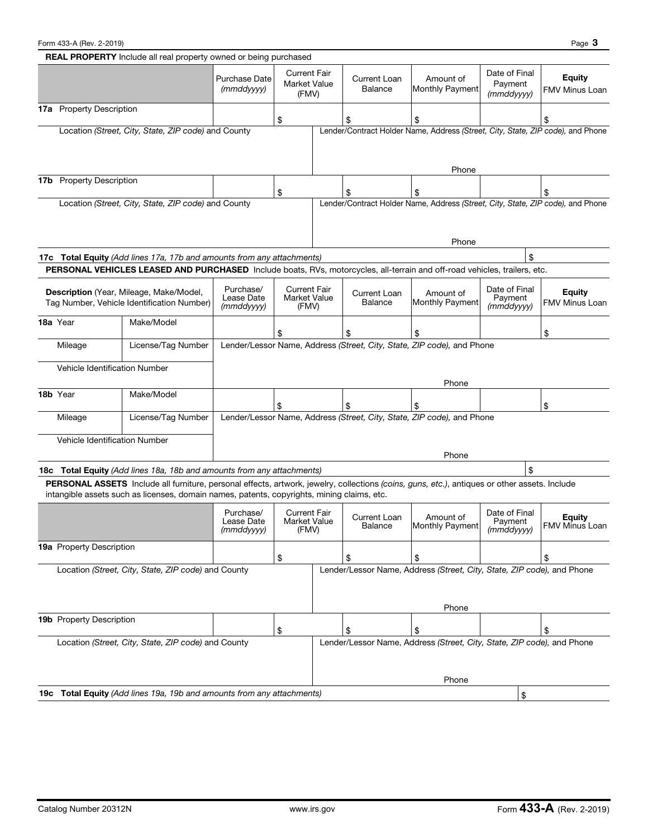|                                    | <b>REAL PROPERTY</b> Include all real property owned or being purchased                                                                                                                                                                     |                                       |                                                     |                                |                                                                                 |                                        |                                 |
|------------------------------------|---------------------------------------------------------------------------------------------------------------------------------------------------------------------------------------------------------------------------------------------|---------------------------------------|-----------------------------------------------------|--------------------------------|---------------------------------------------------------------------------------|----------------------------------------|---------------------------------|
|                                    |                                                                                                                                                                                                                                             | Purchase Date<br>$(mm$ ddyyyy $)$     | <b>Current Fair</b><br><b>Market Value</b><br>(FMV) | Current Loan<br>Balance        | Amount of<br>Monthly Payment                                                    | Date of Final<br>Payment<br>(mmddyyyy) | <b>Equity</b><br>FMV Minus Loan |
| <b>Property Description</b><br>17а |                                                                                                                                                                                                                                             |                                       | \$                                                  | S                              | \$                                                                              |                                        | \$                              |
|                                    | Location (Street, City, State, ZIP code) and County                                                                                                                                                                                         |                                       |                                                     |                                | Lender/Contract Holder Name, Address (Street, City, State, ZIP code), and Phone |                                        |                                 |
|                                    |                                                                                                                                                                                                                                             |                                       |                                                     |                                | Phone                                                                           |                                        |                                 |
| <b>Property Description</b><br>17b |                                                                                                                                                                                                                                             |                                       | \$                                                  | \$                             |                                                                                 |                                        |                                 |
|                                    | Location (Street, City, State, ZIP code) and County                                                                                                                                                                                         |                                       |                                                     |                                | Lender/Contract Holder Name, Address (Street, City, State, ZIP code), and Phone |                                        |                                 |
|                                    |                                                                                                                                                                                                                                             |                                       |                                                     |                                | Phone                                                                           |                                        |                                 |
|                                    | 17c Total Equity (Add lines 17a, 17b and amounts from any attachments)                                                                                                                                                                      |                                       |                                                     |                                |                                                                                 | \$                                     |                                 |
|                                    | PERSONAL VEHICLES LEASED AND PURCHASED Include boats, RVs, motorcycles, all-terrain and off-road vehicles, trailers, etc.                                                                                                                   |                                       |                                                     |                                |                                                                                 |                                        |                                 |
|                                    | Description (Year, Mileage, Make/Model,<br>Tag Number, Vehicle Identification Number)                                                                                                                                                       | Purchase/<br>Lease Date<br>(mmddyyyy) | <b>Current Fair</b><br><b>Market Value</b><br>(FMV) | Current Loan<br><b>Balance</b> | Amount of<br><b>Monthly Payment</b>                                             | Date of Final<br>Payment<br>(mmddyyyy) | <b>Equity</b><br>FMV Minus Loan |
| 18a Year                           | Make/Model                                                                                                                                                                                                                                  |                                       |                                                     | \$                             |                                                                                 |                                        | \$                              |
| Mileage                            | License/Tag Number                                                                                                                                                                                                                          |                                       |                                                     |                                | Lender/Lessor Name, Address (Street, City, State, ZIP code), and Phone          |                                        |                                 |
|                                    | Vehicle Identification Number                                                                                                                                                                                                               |                                       |                                                     |                                |                                                                                 |                                        |                                 |
|                                    |                                                                                                                                                                                                                                             |                                       |                                                     |                                | Phone                                                                           |                                        |                                 |
| 18b Year                           | Make/Model                                                                                                                                                                                                                                  |                                       | \$                                                  | \$                             | \$                                                                              |                                        | \$                              |
| Mileage                            | License/Tag Number                                                                                                                                                                                                                          |                                       |                                                     |                                | Lender/Lessor Name, Address (Street, City, State, ZIP code), and Phone          |                                        |                                 |
|                                    | Vehicle Identification Number                                                                                                                                                                                                               |                                       |                                                     |                                | Phone                                                                           |                                        |                                 |
|                                    | 18c Total Equity (Add lines 18a, 18b and amounts from any attachments)                                                                                                                                                                      |                                       |                                                     |                                |                                                                                 | \$                                     |                                 |
|                                    | PERSONAL ASSETS Include all furniture, personal effects, artwork, jewelry, collections (coins, quns, etc.), antiques or other assets. Include<br>intangible assets such as licenses, domain names, patents, copyrights, mining claims, etc. |                                       |                                                     |                                |                                                                                 |                                        |                                 |
|                                    |                                                                                                                                                                                                                                             | Purchase/<br>Lease Date<br>(mmddyyyy) | <b>Current Fair</b><br>Market Value<br>(FMV)        | Current Loan<br>Balance        | Amount of<br>Monthly Payment                                                    | Date of Final<br>Payment<br>(mmddyyyy) | <b>Equity</b><br>FMV Minus Loan |
| 19a Property Description           |                                                                                                                                                                                                                                             |                                       | \$                                                  | \$                             | $$\mathbb{S}$$                                                                  |                                        | \$                              |
|                                    | Location (Street, City, State, ZIP code) and County                                                                                                                                                                                         |                                       |                                                     |                                | Lender/Lessor Name, Address (Street, City, State, ZIP code), and Phone          |                                        |                                 |
|                                    |                                                                                                                                                                                                                                             |                                       |                                                     |                                | Phone                                                                           |                                        |                                 |
| 19b Property Description           |                                                                                                                                                                                                                                             |                                       |                                                     |                                |                                                                                 |                                        |                                 |
|                                    | Location (Street, City, State, ZIP code) and County                                                                                                                                                                                         |                                       | \$                                                  | \$                             | \$<br>Lender/Lessor Name, Address (Street, City, State, ZIP code), and Phone    |                                        | \$                              |
|                                    |                                                                                                                                                                                                                                             |                                       |                                                     |                                |                                                                                 |                                        |                                 |
|                                    |                                                                                                                                                                                                                                             |                                       |                                                     |                                | Phone                                                                           |                                        |                                 |
|                                    | 19c Total Equity (Add lines 19a, 19b and amounts from any attachments)                                                                                                                                                                      |                                       |                                                     |                                |                                                                                 | \$                                     |                                 |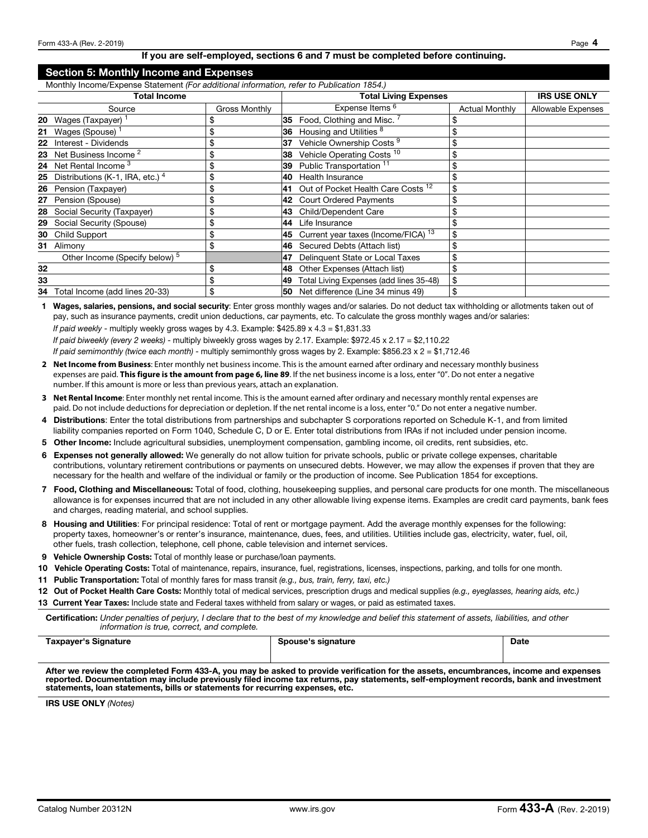#### If you are self-employed, sections 6 and 7 must be completed before continuing.

#### Section 5: Monthly Income and Expenses

Monthly Income/Expense Statement *(For additional information, refer to Publication 1854.)*

|    | Total Income                              |               |     | <b>Total Living Expenses</b>                   |                       | <b>IRS USE ONLY</b> |
|----|-------------------------------------------|---------------|-----|------------------------------------------------|-----------------------|---------------------|
|    | Source                                    | Gross Monthly |     | Expense Items 6                                | <b>Actual Monthly</b> | Allowable Expenses  |
|    | <b>20</b> Wages (Taxpayer) <sup>1</sup>   | S             | 35  | Food, Clothing and Misc. 7                     | \$                    |                     |
| 21 | Wages (Spouse)                            | \$            | 36  | Housing and Utilities 8                        | \$                    |                     |
|    | 22 Interest - Dividends                   | \$            | 137 | Vehicle Ownership Costs <sup>9</sup>           | \$                    |                     |
|    | 23 Net Business Income <sup>2</sup>       | \$            | 38  | Vehicle Operating Costs <sup>10</sup>          | \$                    |                     |
|    | 24 Net Rental Income 3                    | \$            | 39  | Public Transportation <sup>11</sup>            | \$                    |                     |
|    | 25 Distributions (K-1, IRA, etc.) $4$     | \$            | 40  | Health Insurance                               | \$                    |                     |
|    | 26 Pension (Taxpayer)                     | \$            | 41  | Out of Pocket Health Care Costs <sup>12</sup>  | \$                    |                     |
|    | 27 Pension (Spouse)                       | \$            | 42  | <b>Court Ordered Payments</b>                  | \$                    |                     |
|    | 28 Social Security (Taxpayer)             | \$            | 43  | Child/Dependent Care                           | \$                    |                     |
|    | 29 Social Security (Spouse)               | \$            | 44  | Life Insurance                                 | \$                    |                     |
|    | 30 Child Support                          | \$            | 145 | Current year taxes (Income/FICA) <sup>13</sup> | \$                    |                     |
|    | 31 Alimony                                | \$            | 46  | Secured Debts (Attach list)                    | \$                    |                     |
|    | Other Income (Specify below) <sup>5</sup> |               | 147 | Delinquent State or Local Taxes                | \$                    |                     |
| 32 |                                           | \$            | 48  | Other Expenses (Attach list)                   | \$                    |                     |
| 33 |                                           | \$            | 149 | Total Living Expenses (add lines 35-48)        | \$                    |                     |
| 34 | Total Income (add lines 20-33)            | \$            | 50  | Net difference (Line 34 minus 49)              | \$                    |                     |

1 Wages, salaries, pensions, and social security: Enter gross monthly wages and/or salaries. Do not deduct tax withholding or allotments taken out of pay, such as insurance payments, credit union deductions, car payments, etc. To calculate the gross monthly wages and/or salaries: *If paid weekly* - multiply weekly gross wages by 4.3. Example: \$425.89 x 4.3 = \$1,831.33

*If paid biweekly (every 2 weeks)* - multiply biweekly gross wages by 2.17. Example: \$972.45 x 2.17 = \$2,110.22

- *If paid semimonthly (twice each month)*  multiply semimonthly gross wages by 2. Example: \$856.23 x 2 = \$1,712.46
- **2 Net Income from Business**: Enter monthly net business income. This is the amount earned after ordinary and necessary monthly business expenses are paid. **This figure is the amount from page 6, line 89**. If the net business income is a loss, enter "0". Do not enter a negative number. If this amount is more or less than previous years, attach an explanation.
- **3 Net Rental Income**: Enter monthly net rental income. This is the amount earned after ordinary and necessary monthly rental expenses are paid. Do not include deductions for depreciation or depletion. If the net rental income is a loss, enter "0." Do not enter a negative number.
- 4 Distributions: Enter the total distributions from partnerships and subchapter S corporations reported on Schedule K-1, and from limited liability companies reported on Form 1040, Schedule C, D or E. Enter total distributions from IRAs if not included under pension income.
- 5 Other Income: Include agricultural subsidies, unemployment compensation, gambling income, oil credits, rent subsidies, etc.
- 6 Expenses not generally allowed: We generally do not allow tuition for private schools, public or private college expenses, charitable contributions, voluntary retirement contributions or payments on unsecured debts. However, we may allow the expenses if proven that they are necessary for the health and welfare of the individual or family or the production of income. See Publication 1854 for exceptions.
- 7 Food, Clothing and Miscellaneous: Total of food, clothing, housekeeping supplies, and personal care products for one month. The miscellaneous allowance is for expenses incurred that are not included in any other allowable living expense items. Examples are credit card payments, bank fees and charges, reading material, and school supplies.
- 8 Housing and Utilities: For principal residence: Total of rent or mortgage payment. Add the average monthly expenses for the following: property taxes, homeowner's or renter's insurance, maintenance, dues, fees, and utilities. Utilities include gas, electricity, water, fuel, oil, other fuels, trash collection, telephone, cell phone, cable television and internet services.
- 9 Vehicle Ownership Costs: Total of monthly lease or purchase/loan payments.
- 10 Vehicle Operating Costs: Total of maintenance, repairs, insurance, fuel, registrations, licenses, inspections, parking, and tolls for one month.
- 11 Public Transportation: Total of monthly fares for mass transit *(e.g., bus, train, ferry, taxi, etc.)*
- 12 Out of Pocket Health Care Costs: Monthly total of medical services, prescription drugs and medical supplies *(e.g., eyeglasses, hearing aids, etc.)*
- 13 Current Year Taxes: Include state and Federal taxes withheld from salary or wages, or paid as estimated taxes.

Certification: *Under penalties of perjury, I declare that to the best of my knowledge and belief this statement of assets, liabilities, and other information is true, correct, and complete.*

| Taxpayer's Signature | ouse's signature<br>Snouca's<br>. | <b>Date</b> |
|----------------------|-----------------------------------|-------------|
|                      |                                   |             |

After we review the completed Form 433-A, you may be asked to provide verification for the assets, encumbrances, income and expenses reported. Documentation may include previously filed income tax returns, pay statements, self-employment records, bank and investment statements, loan statements, bills or statements for recurring expenses, etc.

IRS USE ONLY *(Notes)*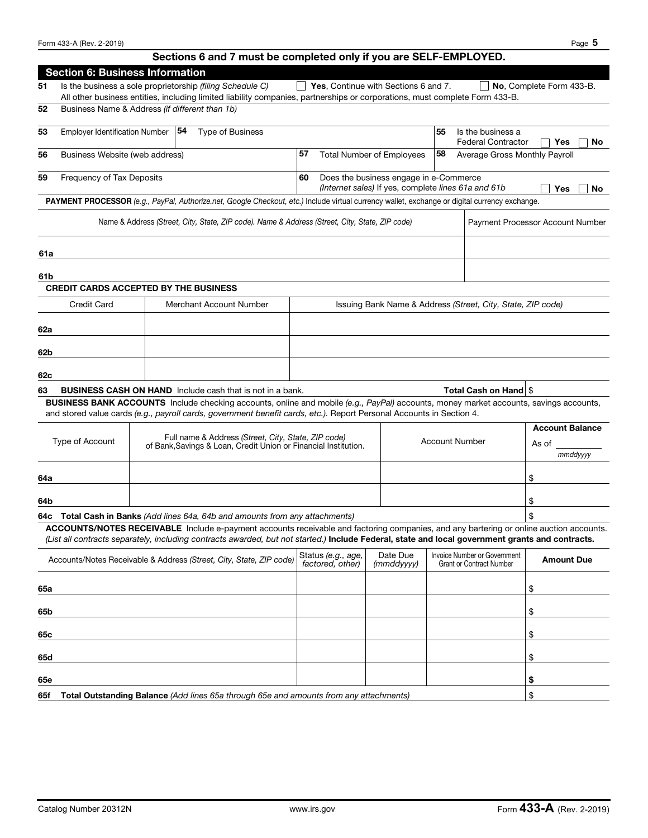# Sections 6 and 7 must be completed only if you are SELF-EMPLOYED.

|     | <b>Section 6: Business Information</b>         |    |                                                                                                                                                                                                                                                                                            |    |                                        |                                                                                               |                       |                                                                 |                                         |
|-----|------------------------------------------------|----|--------------------------------------------------------------------------------------------------------------------------------------------------------------------------------------------------------------------------------------------------------------------------------------------|----|----------------------------------------|-----------------------------------------------------------------------------------------------|-----------------------|-----------------------------------------------------------------|-----------------------------------------|
| 51  |                                                |    | Is the business a sole proprietorship (filing Schedule C)<br>All other business entities, including limited liability companies, partnerships or corporations, must complete Form 433-B.                                                                                                   |    |                                        | Yes, Continue with Sections 6 and 7.                                                          |                       |                                                                 | No, Complete Form 433-B.                |
| 52  | Business Name & Address (if different than 1b) |    |                                                                                                                                                                                                                                                                                            |    |                                        |                                                                                               |                       |                                                                 |                                         |
| 53  | <b>Employer Identification Number</b>          | 54 | <b>Type of Business</b>                                                                                                                                                                                                                                                                    |    |                                        |                                                                                               | 55                    | Is the business a<br><b>Federal Contractor</b>                  | Yes<br>No                               |
| 56  | Business Website (web address)                 |    |                                                                                                                                                                                                                                                                                            | 57 |                                        | <b>Total Number of Employees</b>                                                              | 58                    | Average Gross Monthly Payroll                                   |                                         |
| 59  | Frequency of Tax Deposits                      |    |                                                                                                                                                                                                                                                                                            | 60 |                                        | Does the business engage in e-Commerce<br>(Internet sales) If yes, complete lines 61a and 61b |                       |                                                                 | Yes<br>No                               |
|     |                                                |    | PAYMENT PROCESSOR (e.g., PayPal, Authorize.net, Google Checkout, etc.) Include virtual currency wallet, exchange or digital currency exchange.                                                                                                                                             |    |                                        |                                                                                               |                       |                                                                 |                                         |
|     |                                                |    | Name & Address (Street, City, State, ZIP code). Name & Address (Street, City, State, ZIP code)                                                                                                                                                                                             |    |                                        |                                                                                               |                       |                                                                 | <b>Payment Processor Account Number</b> |
| 61a |                                                |    |                                                                                                                                                                                                                                                                                            |    |                                        |                                                                                               |                       |                                                                 |                                         |
| 61b |                                                |    |                                                                                                                                                                                                                                                                                            |    |                                        |                                                                                               |                       |                                                                 |                                         |
|     | <b>CREDIT CARDS ACCEPTED BY THE BUSINESS</b>   |    |                                                                                                                                                                                                                                                                                            |    |                                        |                                                                                               |                       |                                                                 |                                         |
|     | <b>Credit Card</b>                             |    | Merchant Account Number                                                                                                                                                                                                                                                                    |    |                                        | Issuing Bank Name & Address (Street, City, State, ZIP code)                                   |                       |                                                                 |                                         |
| 62а |                                                |    |                                                                                                                                                                                                                                                                                            |    |                                        |                                                                                               |                       |                                                                 |                                         |
| 62b |                                                |    |                                                                                                                                                                                                                                                                                            |    |                                        |                                                                                               |                       |                                                                 |                                         |
| 62c |                                                |    |                                                                                                                                                                                                                                                                                            |    |                                        |                                                                                               |                       |                                                                 |                                         |
| 63  |                                                |    | BUSINESS CASH ON HAND Include cash that is not in a bank.                                                                                                                                                                                                                                  |    |                                        |                                                                                               |                       | Total Cash on Hand \$                                           |                                         |
|     |                                                |    | BUSINESS BANK ACCOUNTS Include checking accounts, online and mobile (e.g., PayPal) accounts, money market accounts, savings accounts,<br>and stored value cards (e.g., payroll cards, government benefit cards, etc.). Report Personal Accounts in Section 4.                              |    |                                        |                                                                                               |                       |                                                                 |                                         |
|     |                                                |    | Full name & Address (Street, City, State, ZIP code)                                                                                                                                                                                                                                        |    |                                        |                                                                                               |                       |                                                                 | <b>Account Balance</b>                  |
|     | Type of Account                                |    | of Bank, Savings & Loan, Credit Union or Financial Institution.                                                                                                                                                                                                                            |    |                                        |                                                                                               | <b>Account Number</b> |                                                                 | As of<br>mmddyyyy                       |
| 64a |                                                |    |                                                                                                                                                                                                                                                                                            |    |                                        |                                                                                               |                       |                                                                 | \$                                      |
| 64b |                                                |    |                                                                                                                                                                                                                                                                                            |    |                                        |                                                                                               |                       |                                                                 | \$                                      |
|     |                                                |    | 64c Total Cash in Banks (Add lines 64a, 64b and amounts from any attachments)                                                                                                                                                                                                              |    |                                        |                                                                                               |                       |                                                                 | \$                                      |
|     |                                                |    | ACCOUNTS/NOTES RECEIVABLE Include e-payment accounts receivable and factoring companies, and any bartering or online auction accounts.<br>(List all contracts separately, including contracts awarded, but not started.) Include Federal, state and local government grants and contracts. |    |                                        |                                                                                               |                       |                                                                 |                                         |
|     |                                                |    | Accounts/Notes Receivable & Address (Street, City, State, ZIP code)                                                                                                                                                                                                                        |    | Status (e.g., age,<br>factored, other) | Date Due<br>(mmddyyyy)                                                                        |                       | Invoice Number or Government<br><b>Grant or Contract Number</b> | <b>Amount Due</b>                       |
| 65a |                                                |    |                                                                                                                                                                                                                                                                                            |    |                                        |                                                                                               |                       |                                                                 | \$                                      |
| 65b |                                                |    |                                                                                                                                                                                                                                                                                            |    |                                        |                                                                                               |                       |                                                                 | \$                                      |
| 65с |                                                |    |                                                                                                                                                                                                                                                                                            |    |                                        |                                                                                               |                       |                                                                 | \$                                      |
| 65d |                                                |    |                                                                                                                                                                                                                                                                                            |    |                                        |                                                                                               |                       |                                                                 | \$                                      |
| 65e |                                                |    |                                                                                                                                                                                                                                                                                            |    |                                        |                                                                                               |                       |                                                                 | \$                                      |
| 65f |                                                |    | Total Outstanding Balance (Add lines 65a through 65e and amounts from any attachments)                                                                                                                                                                                                     |    |                                        |                                                                                               |                       |                                                                 | \$                                      |